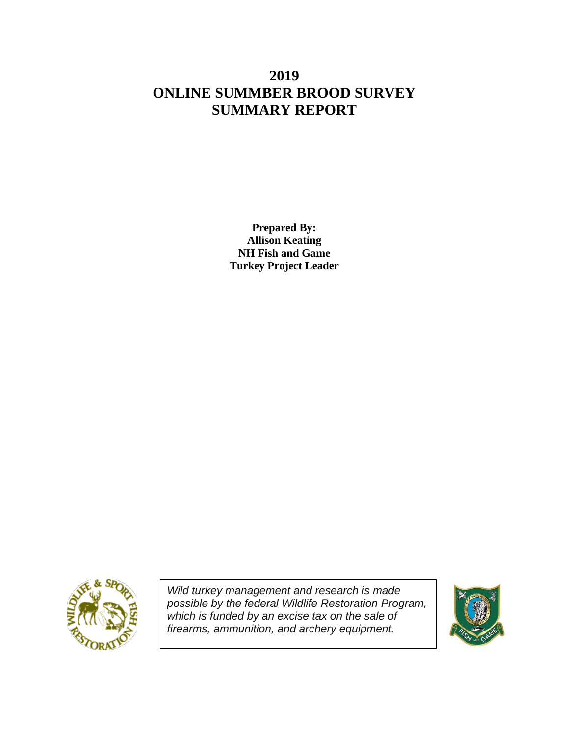# **2019 ONLINE SUMMBER BROOD SURVEY SUMMARY REPORT**

**Prepared By: Allison Keating NH Fish and Game Turkey Project Leader**



*Wild turkey management and research is made possible by the federal Wildlife Restoration Program, which is funded by an excise tax on the sale of firearms, ammunition, and archery equipment.*

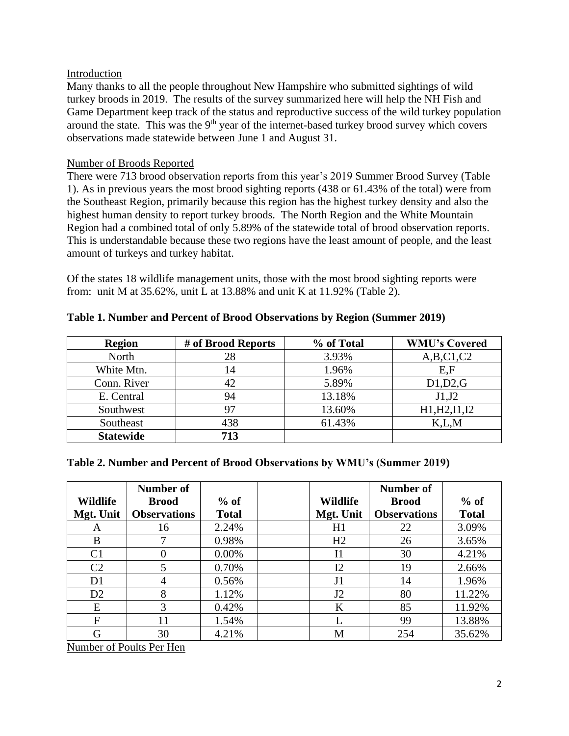# Introduction

Many thanks to all the people throughout New Hampshire who submitted sightings of wild turkey broods in 2019. The results of the survey summarized here will help the NH Fish and Game Department keep track of the status and reproductive success of the wild turkey population around the state. This was the 9<sup>th</sup> year of the internet-based turkey brood survey which covers observations made statewide between June 1 and August 31.

# Number of Broods Reported

There were 713 brood observation reports from this year's 2019 Summer Brood Survey (Table 1). As in previous years the most brood sighting reports (438 or 61.43% of the total) were from the Southeast Region, primarily because this region has the highest turkey density and also the highest human density to report turkey broods. The North Region and the White Mountain Region had a combined total of only 5.89% of the statewide total of brood observation reports. This is understandable because these two regions have the least amount of people, and the least amount of turkeys and turkey habitat.

Of the states 18 wildlife management units, those with the most brood sighting reports were from: unit M at 35.62%, unit L at 13.88% and unit K at 11.92% (Table 2).

| <b>Region</b>    | # of Brood Reports | % of Total | <b>WMU's Covered</b> |
|------------------|--------------------|------------|----------------------|
| North            | 28                 | 3.93%      | A,B,C1,C2            |
| White Mtn.       | 14                 | 1.96%      | E,F                  |
| Conn. River      | 42                 | 5.89%      | D1,D2,G              |
| E. Central       | 94                 | 13.18%     | J1,J2                |
| Southwest        | 97                 | 13.60%     | H1, H2, I1, I2       |
| Southeast        | 438                | 61.43%     | K.L.M                |
| <b>Statewide</b> | 713                |            |                      |

**Table 1. Number and Percent of Brood Observations by Region (Summer 2019)**

# **Table 2. Number and Percent of Brood Observations by WMU's (Summer 2019)**

|                 | Number of           |              |                | <b>Number of</b>    |              |
|-----------------|---------------------|--------------|----------------|---------------------|--------------|
| <b>Wildlife</b> | <b>Brood</b>        | $%$ of       | Wildlife       | <b>Brood</b>        | $%$ of       |
| Mgt. Unit       | <b>Observations</b> | <b>Total</b> | Mgt. Unit      | <b>Observations</b> | <b>Total</b> |
| A               | 16                  | 2.24%        | H1             | 22                  | 3.09%        |
| B               |                     | 0.98%        | H <sub>2</sub> | 26                  | 3.65%        |
| C <sub>1</sub>  | $\theta$            | 0.00%        | I <sub>1</sub> | 30                  | 4.21%        |
| C <sub>2</sub>  | 5                   | 0.70%        | I2             | 19                  | 2.66%        |
| D <sub>1</sub>  | 4                   | 0.56%        | J <sub>1</sub> | 14                  | 1.96%        |
| D2              | 8                   | 1.12%        | J2             | 80                  | 11.22%       |
| E               | 3                   | 0.42%        | K              | 85                  | 11.92%       |
| F               | 11                  | 1.54%        |                | 99                  | 13.88%       |
| G               | 30                  | 4.21%        | M              | 254                 | 35.62%       |

Number of Poults Per Hen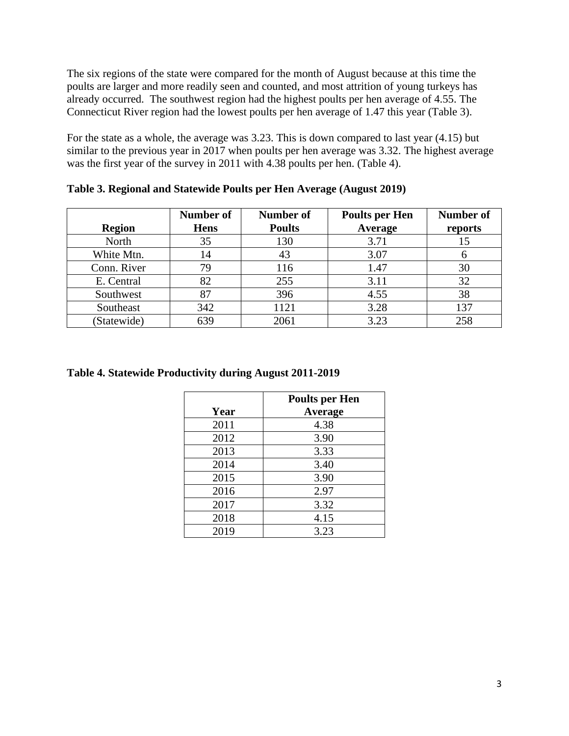The six regions of the state were compared for the month of August because at this time the poults are larger and more readily seen and counted, and most attrition of young turkeys has already occurred. The southwest region had the highest poults per hen average of 4.55. The Connecticut River region had the lowest poults per hen average of 1.47 this year (Table 3).

For the state as a whole, the average was 3.23. This is down compared to last year (4.15) but similar to the previous year in 2017 when poults per hen average was 3.32. The highest average was the first year of the survey in 2011 with 4.38 poults per hen. (Table 4).

| <b>Region</b> | Number of<br><b>Hens</b> | Number of<br><b>Poults</b> | <b>Poults per Hen</b><br><b>Average</b> | <b>Number of</b><br>reports |
|---------------|--------------------------|----------------------------|-----------------------------------------|-----------------------------|
| North         | 35                       | 130                        | 3.71                                    | 15                          |
| White Mtn.    | 14                       | 43                         | 3.07                                    |                             |
| Conn. River   | 79                       | 116                        | 1.47                                    | 30                          |
| E. Central    | 82                       | 255                        | 3.11                                    | 32                          |
| Southwest     | 87                       | 396                        | 4.55                                    | 38                          |
| Southeast     | 342                      | 1121                       | 3.28                                    | 137                         |
| (Statewide)   | 639                      | 2061                       | 3.23                                    | 258                         |

**Table 3. Regional and Statewide Poults per Hen Average (August 2019)**

#### **Table 4. Statewide Productivity during August 2011-2019**

|      | <b>Poults per Hen</b> |
|------|-----------------------|
| Year | Average               |
| 2011 | 4.38                  |
| 2012 | 3.90                  |
| 2013 | 3.33                  |
| 2014 | 3.40                  |
| 2015 | 3.90                  |
| 2016 | 2.97                  |
| 2017 | 3.32                  |
| 2018 | 4.15                  |
| 2019 | 3.23                  |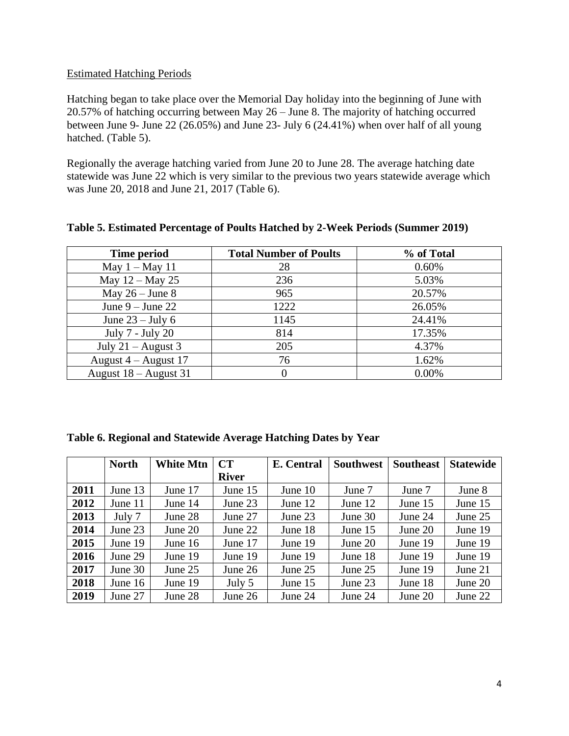# Estimated Hatching Periods

Hatching began to take place over the Memorial Day holiday into the beginning of June with 20.57% of hatching occurring between May 26 – June 8. The majority of hatching occurred between June 9- June 22 (26.05%) and June 23- July 6 (24.41%) when over half of all young hatched. (Table 5).

Regionally the average hatching varied from June 20 to June 28. The average hatching date statewide was June 22 which is very similar to the previous two years statewide average which was June 20, 2018 and June 21, 2017 (Table 6).

| Time period             | <b>Total Number of Poults</b> | % of Total |
|-------------------------|-------------------------------|------------|
| May $1 -$ May 11        | 28                            | 0.60%      |
| May $12 -$ May 25       | 236                           | 5.03%      |
| May $26 -$ June 8       | 965                           | 20.57%     |
| June $9 -$ June 22      | 1222                          | 26.05%     |
| June $23 -$ July 6      | 1145                          | 24.41%     |
| July 7 - July 20        | 814                           | 17.35%     |
| July $21 -$ August 3    | 205                           | 4.37%      |
| August $4 -$ August 17  | 76                            | 1.62%      |
| August $18 -$ August 31 |                               | 0.00%      |

**Table 5. Estimated Percentage of Poults Hatched by 2-Week Periods (Summer 2019)**

| Table 6. Regional and Statewide Average Hatching Dates by Year |  |  |
|----------------------------------------------------------------|--|--|
|----------------------------------------------------------------|--|--|

|      | <b>North</b> | <b>White Mtn</b> | CT           | E. Central | <b>Southwest</b> | <b>Southeast</b> | <b>Statewide</b> |
|------|--------------|------------------|--------------|------------|------------------|------------------|------------------|
|      |              |                  | <b>River</b> |            |                  |                  |                  |
| 2011 | June 13      | June 17          | June 15      | June 10    | June 7           | June 7           | June 8           |
| 2012 | June 11      | June $14$        | June 23      | June $12$  | June 12          | June $15$        | June 15          |
| 2013 | July 7       | June 28          | June 27      | June 23    | June 30          | June $24$        | June 25          |
| 2014 | June $23$    | June $20$        | June 22      | June 18    | June $15$        | June $20$        | June 19          |
| 2015 | June 19      | June $16$        | June 17      | June 19    | June $20$        | June 19          | June 19          |
| 2016 | June 29      | June 19          | June 19      | June 19    | June 18          | June 19          | June 19          |
| 2017 | June 30      | June $25$        | June 26      | June $25$  | June $25$        | June 19          | June 21          |
| 2018 | June 16      | June 19          | July 5       | June $15$  | June 23          | June 18          | June 20          |
| 2019 | June 27      | June 28          | June 26      | June 24    | June 24          | June 20          | June 22          |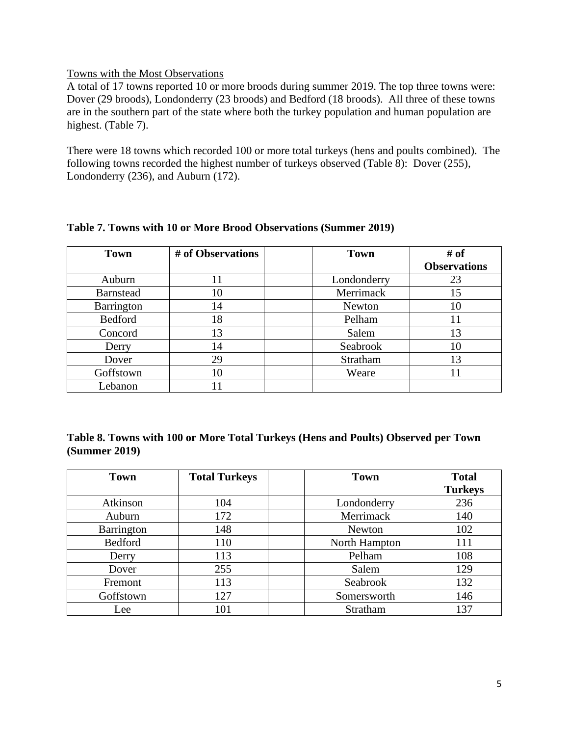#### Towns with the Most Observations

A total of 17 towns reported 10 or more broods during summer 2019. The top three towns were: Dover (29 broods), Londonderry (23 broods) and Bedford (18 broods). All three of these towns are in the southern part of the state where both the turkey population and human population are highest. (Table 7).

There were 18 towns which recorded 100 or more total turkeys (hens and poults combined). The following towns recorded the highest number of turkeys observed (Table 8): Dover (255), Londonderry (236), and Auburn (172).

| <b>Town</b>      | # of Observations | <b>Town</b> | # of                |
|------------------|-------------------|-------------|---------------------|
|                  |                   |             | <b>Observations</b> |
| Auburn           | 11                | Londonderry | 23                  |
| <b>Barnstead</b> | 10                | Merrimack   | 15                  |
| Barrington       | 14                | Newton      | 10                  |
| Bedford          | 18                | Pelham      |                     |
| Concord          | 13                | Salem       | 13                  |
| Derry            | 14                | Seabrook    | 10                  |
| Dover            | 29                | Stratham    | 13                  |
| Goffstown        | 10                | Weare       |                     |
| Lebanon          |                   |             |                     |

# **Table 7. Towns with 10 or More Brood Observations (Summer 2019)**

# **Table 8. Towns with 100 or More Total Turkeys (Hens and Poults) Observed per Town (Summer 2019)**

| <b>Town</b>    | <b>Total Turkeys</b> | <b>Town</b>   | <b>Total</b>   |
|----------------|----------------------|---------------|----------------|
|                |                      |               | <b>Turkeys</b> |
| Atkinson       | 104                  | Londonderry   | 236            |
| Auburn         | 172                  | Merrimack     | 140            |
| Barrington     | 148                  | Newton        | 102            |
| <b>Bedford</b> | 110                  | North Hampton | 111            |
| Derry          | 113                  | Pelham        | 108            |
| Dover          | 255                  | Salem         | 129            |
| Fremont        | 113                  | Seabrook      | 132            |
| Goffstown      | 127                  | Somersworth   | 146            |
| Lee            | 101                  | Stratham      | 137            |